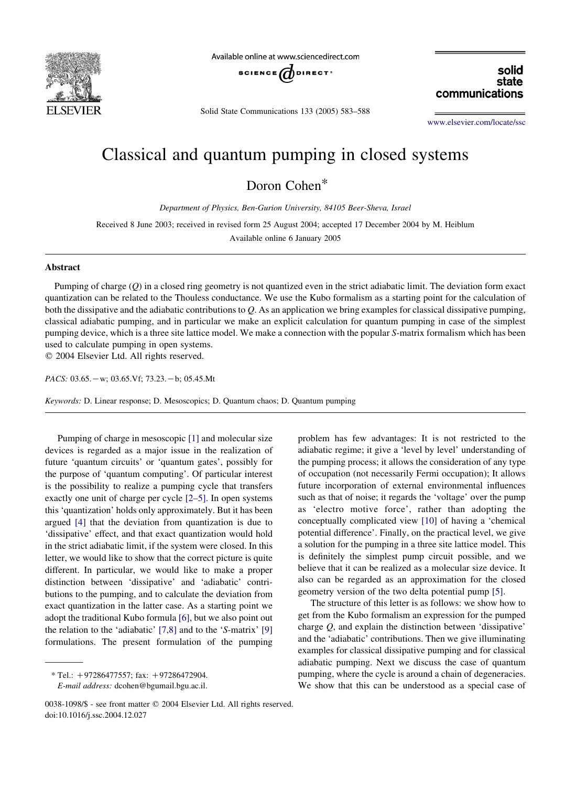

Available online at www.sciencedirect.com



Solid State Communications 133 (2005) 583–588

communications

solid state

[www.elsevier.com/locate/ssc](http://www.elsevier.com/locate/ssc)

## Classical and quantum pumping in closed systems

Doron Cohen\*

Department of Physics, Ben-Gurion University, 84105 Beer-Sheva, Israel

Received 8 June 2003; received in revised form 25 August 2004; accepted 17 December 2004 by M. Heiblum

Available online 6 January 2005

## Abstract

Pumping of charge (Q) in a closed ring geometry is not quantized even in the strict adiabatic limit. The deviation form exact quantization can be related to the Thouless conductance. We use the Kubo formalism as a starting point for the calculation of both the dissipative and the adiabatic contributions to  $Q$ . As an application we bring examples for classical dissipative pumping, classical adiabatic pumping, and in particular we make an explicit calculation for quantum pumping in case of the simplest pumping device, which is a three site lattice model. We make a connection with the popular S-matrix formalism which has been used to calculate pumping in open systems.

 $Q$  2004 Elsevier Ltd. All rights reserved.

PACS:  $03.65 - w$ ;  $03.65$ . Vf;  $73.23 - b$ ; 05.45.Mt

Keywords: D. Linear response; D. Mesoscopics; D. Quantum chaos; D. Quantum pumping

Pumping of charge in mesoscopic [\[1\]](#page-4-0) and molecular size devices is regarded as a major issue in the realization of future 'quantum circuits' or 'quantum gates', possibly for the purpose of 'quantum computing'. Of particular interest is the possibility to realize a pumping cycle that transfers exactly one unit of charge per cycle [\[2–5\].](#page-4-0) In open systems this 'quantization' holds only approximately. But it has been argued [\[4\]](#page-4-0) that the deviation from quantization is due to 'dissipative' effect, and that exact quantization would hold in the strict adiabatic limit, if the system were closed. In this letter, we would like to show that the correct picture is quite different. In particular, we would like to make a proper distinction between 'dissipative' and 'adiabatic' contributions to the pumping, and to calculate the deviation from exact quantization in the latter case. As a starting point we adopt the traditional Kubo formula [\[6\]](#page-5-0), but we also point out the relation to the 'adiabatic' [\[7,8\]](#page-5-0) and to the 'S-matrix' [\[9\]](#page-5-0) formulations. The present formulation of the pumping

 $*$  Tel.: +97286477557; fax: +97286472904. E-mail address: dcohen@bgumail.bgu.ac.il. problem has few advantages: It is not restricted to the adiabatic regime; it give a 'level by level' understanding of the pumping process; it allows the consideration of any type of occupation (not necessarily Fermi occupation); It allows future incorporation of external environmental influences such as that of noise; it regards the 'voltage' over the pump as 'electro motive force', rather than adopting the conceptually complicated view [\[10\]](#page-5-0) of having a 'chemical potential difference'. Finally, on the practical level, we give a solution for the pumping in a three site lattice model. This is definitely the simplest pump circuit possible, and we believe that it can be realized as a molecular size device. It also can be regarded as an approximation for the closed geometry version of the two delta potential pump [\[5\].](#page-4-0)

The structure of this letter is as follows: we show how to get from the Kubo formalism an expression for the pumped charge Q, and explain the distinction between 'dissipative' and the 'adiabatic' contributions. Then we give illuminating examples for classical dissipative pumping and for classical adiabatic pumping. Next we discuss the case of quantum pumping, where the cycle is around a chain of degeneracies. We show that this can be understood as a special case of

<sup>0038-1098/\$ -</sup> see front matter © 2004 Elsevier Ltd. All rights reserved. doi:10.1016/j.ssc.2004.12.027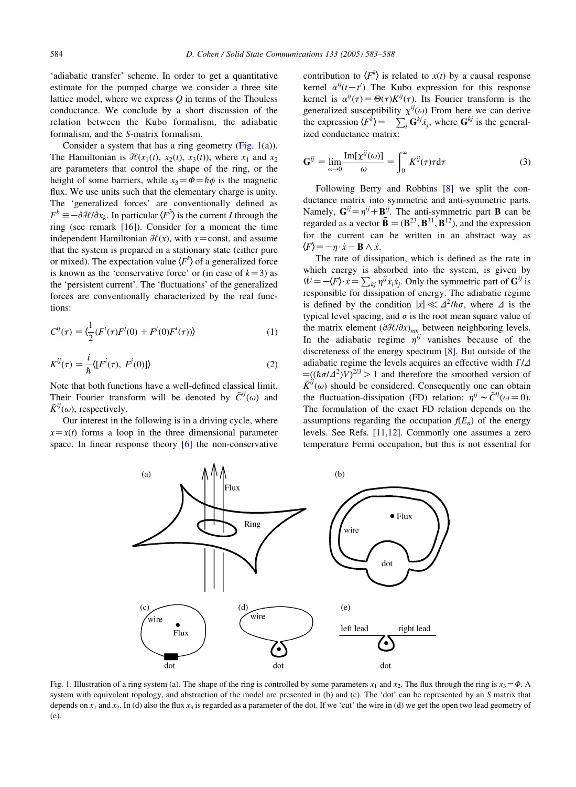<span id="page-1-0"></span>'adiabatic transfer' scheme. In order to get a quantitative estimate for the pumped charge we consider a three site lattice model, where we express  $Q$  in terms of the Thouless conductance. We conclude by a short discussion of the relation between the Kubo formalism, the adiabatic formalism, and the S-matrix formalism.

Consider a system that has a ring geometry (Fig. 1(a)). The Hamiltonian is  $\mathcal{H}(x_1(t), x_2(t), x_3(t))$ , where  $x_1$  and  $x_2$ are parameters that control the shape of the ring, or the height of some barriers, while  $x_3 = \Phi = \hbar \phi$  is the magnetic flux. We use units such that the elementary charge is unity. The 'generalized forces' are conventionally defined as  $F^k \equiv -\partial \mathcal{H}/\partial x_k$ . In particular  $\langle F^3 \rangle$  is the current I through the ring (see remark [\[16\]](#page-5-0)). Consider for a moment the time independent Hamiltonian  $\mathcal{H}(x)$ , with x=const, and assume that the system is prepared in a stationary state (either pure or mixed). The expectation value  $\langle F^k \rangle$  of a generalized force is known as the 'conservative force' or (in case of  $k=3$ ) as the 'persistent current'. The 'fluctuations' of the generalized forces are conventionally characterized by the real functions:

$$
C^{ij}(\tau) = \langle \frac{1}{2} (F^i(\tau) F^j(0) + F^j(0) F^i(\tau)) \rangle
$$
 (1)

$$
K^{ij}(\tau) = \frac{i}{\hbar} \langle [F^i(\tau), F^j(0)] \rangle \tag{2}
$$

Note that both functions have a well-defined classical limit. Their Fourier transform will be denoted by  $\tilde{C}^{ij}(\omega)$  and  $\tilde{K}^{ij}(\omega)$ , respectively.

Our interest in the following is in a driving cycle, where  $x=x(t)$  forms a loop in the three dimensional parameter space. In linear response theory [\[6\]](#page-5-0) the non-conservative

contribution to  $\langle F^k \rangle$  is related to  $x(t)$  by a causal response kernel  $\alpha^{ij}(t-t')$  The Kubo expression for this response kernel is  $\alpha^{ij}(\tau) = \Theta(\tau) K^{ij}(\tau)$ . Its Fourier transform is the generalized susceptibility  $\chi^{ij}(\omega)$  From here we can derive the expression  $\langle F^k \rangle = -\sum_j \mathbf{G}^{kj} x_j$ , where  $\mathbf{G}^{kj}$  is the generalized conductance matrix:

$$
\mathbf{G}^{ij} = \lim_{\omega \to 0} \frac{\text{Im}[\chi^{ij}(\omega)]}{\omega} = \int_0^\infty K^{ij}(\tau) \tau \mathrm{d}\tau \tag{3}
$$

Following Berry and Robbins [\[8\]](#page-5-0) we split the conductance matrix into symmetric and anti-symmetric parts. Namely,  $G^{ij} = \eta^{ij} + B^{ij}$ . The anti-symmetric part **B** can be regarded as a vector  $\mathbf{\vec{B}} = (\mathbf{B}^{23}, \mathbf{B}^{31}, \mathbf{B}^{12})$ , and the expression for the current can be written in an abstract way as  $\langle F \rangle = -\eta \cdot \dot{x} - \mathbf{B} \wedge \dot{x}.$ 

The rate of dissipation, which is defined as the rate in which energy is absorbed into the system, is given by  $W = -\langle F \rangle \cdot \dot{x} = \sum_{ki} \eta^{ij} \dot{x}_i \dot{x}_j$ . Only the symmetric part of  $G^{ij}$  is responsible for dissipation of energy. The adiabatic regime is defined by the condition  $|x| \ll \Delta^2/\hbar\sigma$ , where  $\Delta$  is the typical level spacing, and  $\sigma$  is the root mean square value of the matrix element  $(\partial \mathcal{H}/\partial x)_{nm}$  between neighboring levels. In the adiabatic regime  $\eta^{ij}$  vanishes because of the discreteness of the energy spectrum [\[8\].](#page-5-0) But outside of the adiabatic regime the levels acquires an effective width  $\Gamma/\Delta$  $\equiv ((\hbar \sigma/\Delta^2)V)^{2/3} > 1$  and therefore the smoothed version of  $\tilde{K}^{ij}(\omega)$  should be considered. Consequently one can obtain the fluctuation-dissipation (FD) relation:  $\eta^{ij} \sim \tilde{C}^{ij}(\omega=0)$ . The formulation of the exact FD relation depends on the assumptions regarding the occupation  $f(E_n)$  of the energy levels. See Refs. [\[11,12\].](#page-5-0) Commonly one assumes a zero temperature Fermi occupation, but this is not essential for



Fig. 1. Illustration of a ring system (a). The shape of the ring is controlled by some parameters  $x_1$  and  $x_2$ . The flux through the ring is  $x_3 = \Phi$ . A system with equivalent topology, and abstraction of the model are presented in (b) and (c). The 'dot' can be represented by an S matrix that depends on  $x_1$  and  $x_2$ . In (d) also the flux  $x_3$  is regarded as a parameter of the dot. If we 'cut' the wire in (d) we get the open two lead geometry of (e).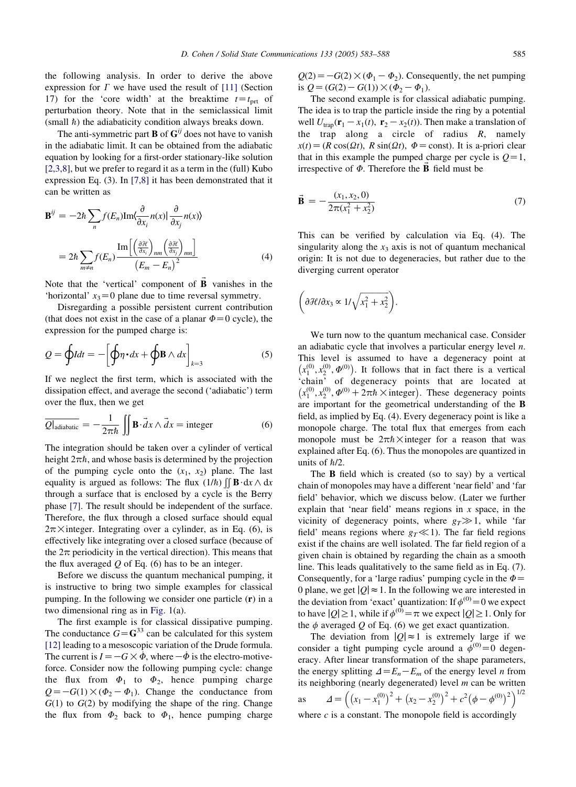the following analysis. In order to derive the above expression for  $\Gamma$  we have used the result of [\[11\]](#page-5-0) (Section 17) for the 'core width' at the breaktime  $t = t<sub>prt</sub>$  of perturbation theory. Note that in the semiclassical limit (small  $\hbar$ ) the adiabaticity condition always breaks down.

The anti-symmetric part **B** of  $G^{ij}$  does not have to vanish in the adiabatic limit. It can be obtained from the adiabatic equation by looking for a first-order stationary-like solution [\[2,3,8\]](#page-4-0), but we prefer to regard it as a term in the (full) Kubo expression Eq. (3). In [\[7,8\]](#page-5-0) it has been demonstrated that it can be written as

$$
\mathbf{B}^{ij} = -2\hbar \sum_{n} f(E_n) \text{Im}\langle \frac{\partial}{\partial x_i} n(x) | \frac{\partial}{\partial x_j} n(x) \rangle
$$
  
=  $2\hbar \sum_{m \neq n} f(E_n) \frac{\text{Im}\left[\left(\frac{\partial \mathcal{H}}{\partial x_i}\right)_{nm} \left(\frac{\partial \mathcal{H}}{\partial x_j}\right)_{mn}\right]}{(E_m - E_n)^2}$  (4)

Note that the 'vertical' component of  $\vec{B}$  vanishes in the 'horizontal'  $x_3=0$  plane due to time reversal symmetry.

Disregarding a possible persistent current contribution (that does not exist in the case of a planar  $\Phi=0$  cycle), the expression for the pumped charge is:

$$
Q = \oint I dt = -\left[\oint \eta \cdot dx + \oint B \wedge dx\right]_{k=3} \tag{5}
$$

If we neglect the first term, which is associated with the dissipation effect, and average the second ('adiabatic') term over the flux, then we get

$$
\overline{Q|_{\text{adiabatic}}} = -\frac{1}{2\pi\hbar} \iint \mathbf{B} \cdot \vec{d}x \wedge \vec{d}x = \text{integer}
$$
 (6)

The integration should be taken over a cylinder of vertical height  $2\pi\hbar$ , and whose basis is determined by the projection of the pumping cycle onto the  $(x_1, x_2)$  plane. The last equality is argued as follows: The flux  $(1/h)$   $\iint \mathbf{B} \cdot d\mathbf{x} \wedge d\mathbf{x}$ through a surface that is enclosed by a cycle is the Berry phase [\[7\]](#page-5-0). The result should be independent of the surface. Therefore, the flux through a closed surface should equal  $2\pi \times$  integer. Integrating over a cylinder, as in Eq. (6), is effectively like integrating over a closed surface (because of the  $2\pi$  periodicity in the vertical direction). This means that the flux averaged  $\ddot{\theta}$  of Eq. (6) has to be an integer.

Before we discuss the quantum mechanical pumping, it is instructive to bring two simple examples for classical pumping. In the following we consider one particle (r) in a two dimensional ring as in [Fig. 1\(](#page-1-0)a).

The first example is for classical dissipative pumping. The conductance  $G = \mathbb{G}^{33}$  can be calculated for this system [\[12\]](#page-5-0) leading to a mesoscopic variation of the Drude formula. The current is  $I = -G \times \dot{\phi}$ , where  $-\dot{\phi}$  is the electro-motiveforce. Consider now the following pumping cycle: change the flux from  $\Phi_1$  to  $\Phi_2$ , hence pumping charge  $Q=-G(1)\times(\Phi_2-\Phi_1)$ . Change the conductance from  $G(1)$  to  $G(2)$  by modifying the shape of the ring. Change the flux from  $\Phi_2$  back to  $\Phi_1$ , hence pumping charge

 $Q(2) = -G(2) \times (\Phi_1 - \Phi_2)$ . Consequently, the net pumping is  $Q = (G(2) - G(1)) \times (\Phi_2 - \Phi_1)$ .

The second example is for classical adiabatic pumping. The idea is to trap the particle inside the ring by a potential well  $U_{\text{tran}}(\mathbf{r}_1 - x_1(t), \mathbf{r}_2 - x_2(t))$ . Then make a translation of the trap along a circle of radius  $R$ , namely  $x(t) = (R \cos(\Omega t), R \sin(\Omega t), \Phi = \text{const})$ . It is a-priori clear that in this example the pumped charge per cycle is  $Q=1$ , irrespective of  $\Phi$ . Therefore the **B** field must be

$$
\vec{\mathbf{B}} = -\frac{(x_1, x_2, 0)}{2\pi(x_1^2 + x_2^2)}
$$
(7)

This can be verified by calculation via Eq. (4). The singularity along the  $x_3$  axis is not of quantum mechanical origin: It is not due to degeneracies, but rather due to the diverging current operator

$$
\left(\partial \mathcal{H}/\partial x_3 \propto 1/\sqrt{x_1^2 + x_2^2}\right).
$$

We turn now to the quantum mechanical case. Consider an adiabatic cycle that involves a particular energy level  $n$ . This level is assumed to have a degeneracy point at  $(x_1^{(0)}, x_2^{(0)}, \phi^{(0)})$ . It follows that in fact there is a vertical 'chain' of degeneracy points that are located at  $(x_1^{(0)}, x_2^{(0)}, \phi^{(0)} + 2\pi\hbar \times \text{integer})$ . These degeneracy points are important for the geometrical understanding of the B field, as implied by Eq. (4). Every degeneracy point is like a monopole charge. The total flux that emerges from each monopole must be  $2\pi\hbar\times$  integer for a reason that was explained after Eq. (6). Thus the monopoles are quantized in units of  $\hbar/2$ .

The B field which is created (so to say) by a vertical chain of monopoles may have a different 'near field' and 'far field' behavior, which we discuss below. (Later we further explain that 'near field' means regions in  $x$  space, in the vicinity of degeneracy points, where  $g_T \gg 1$ , while 'far field' means regions where  $g_T \ll 1$ ). The far field regions exist if the chains are well isolated. The far field region of a given chain is obtained by regarding the chain as a smooth line. This leads qualitatively to the same field as in Eq. (7). Consequently, for a 'large radius' pumping cycle in the  $\Phi =$ 0 plane, we get  $|Q| \approx 1$ . In the following we are interested in the deviation from 'exact' quantization: If  $\phi^{(0)} = 0$  we expect to have  $|O|\geq 1$ , while if  $\phi^{(0)}=\pi$  we expect  $|O|\geq 1$ . Only for the  $\phi$  averaged Q of Eq. (6) we get exact quantization.

The deviation from  $|Q| \approx 1$  is extremely large if we consider a tight pumping cycle around a  $\phi^{(0)} = 0$  degeneracy. After linear transformation of the shape parameters, the energy splitting  $\Delta = E_n - E_m$  of the energy level *n* from its neighboring (nearly degenerated) level  $m$  can be written as  $\Delta = \left( \left( x_1 - x_1^{(0)} \right)^2 + \left( x_2 - x_2^{(0)} \right)^2 + c^2 \left( \phi - \phi^{(0)} \right)^2 \right)^{1/2}$ where  $c$  is a constant. The monopole field is accordingly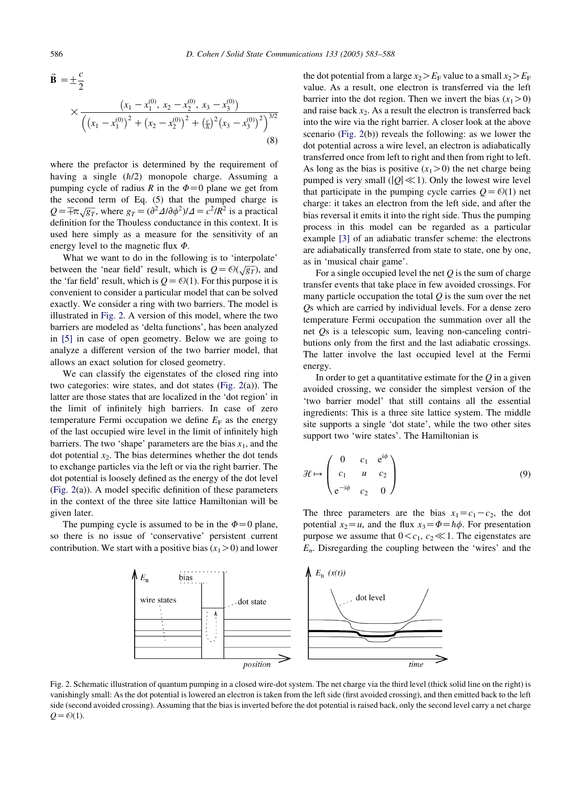$$
\vec{\mathbf{B}} = \pm \frac{c}{2} \times \frac{\left(x_1 - x_1^{(0)}, x_2 - x_2^{(0)}, x_3 - x_3^{(0)}\right)}{\left(\left(x_1 - x_1^{(0)}\right)^2 + \left(x_2 - x_2^{(0)}\right)^2 + \left(\frac{c}{\hbar}\right)^2 \left(x_3 - x_3^{(0)}\right)^2\right)^{3/2}}
$$
\n(8)

where the prefactor is determined by the requirement of having a single  $(h/2)$  monopole charge. Assuming a pumping cycle of radius R in the  $\Phi=0$  plane we get from the second term of Eq. (5) that the pumped charge is  $Q = \pm \pi \sqrt{g_T}$ , where  $g_T = (\partial^2 \Delta/\partial \phi^2)/\Delta = c^2/R^2$  is a practical definition for the Thouless conductance in this context. It is used here simply as a measure for the sensitivity of an energy level to the magnetic flux  $\Phi$ .

What we want to do in the following is to 'interpolate' between the 'near field' result, which is  $Q = \Theta(\sqrt{g_T})$ , and the 'far field' result, which is  $Q = \mathcal{O}(1)$ . For this purpose it is convenient to consider a particular model that can be solved exactly. We consider a ring with two barriers. The model is illustrated in Fig. 2. A version of this model, where the two barriers are modeled as 'delta functions', has been analyzed in [\[5\]](#page-4-0) in case of open geometry. Below we are going to analyze a different version of the two barrier model, that allows an exact solution for closed geometry.

We can classify the eigenstates of the closed ring into two categories: wire states, and dot states (Fig. 2(a)). The latter are those states that are localized in the 'dot region' in the limit of infinitely high barriers. In case of zero temperature Fermi occupation we define  $E_F$  as the energy of the last occupied wire level in the limit of infinitely high barriers. The two 'shape' parameters are the bias  $x_1$ , and the dot potential  $x<sub>2</sub>$ . The bias determines whether the dot tends to exchange particles via the left or via the right barrier. The dot potential is loosely defined as the energy of the dot level (Fig. 2(a)). A model specific definition of these parameters in the context of the three site lattice Hamiltonian will be given later.

The pumping cycle is assumed to be in the  $\Phi=0$  plane, so there is no issue of 'conservative' persistent current contribution. We start with a positive bias  $(x_1>0)$  and lower the dot potential from a large  $x_2 \ge E_F$  value to a small  $x_2 \ge E_F$ value. As a result, one electron is transferred via the left barrier into the dot region. Then we invert the bias  $(x_1>0)$ and raise back  $x_2$ . As a result the electron is transferred back into the wire via the right barrier. A closer look at the above scenario (Fig. 2(b)) reveals the following: as we lower the dot potential across a wire level, an electron is adiabatically transferred once from left to right and then from right to left. As long as the bias is positive  $(x_1>0)$  the net charge being pumped is very small ( $|Q| \ll 1$ ). Only the lowest wire level that participate in the pumping cycle carries  $Q = \mathcal{O}(1)$  net charge: it takes an electron from the left side, and after the bias reversal it emits it into the right side. Thus the pumping process in this model can be regarded as a particular example [\[3\]](#page-4-0) of an adiabatic transfer scheme: the electrons are adiabatically transferred from state to state, one by one, as in 'musical chair game'.

For a single occupied level the net  $Q$  is the sum of charge transfer events that take place in few avoided crossings. For many particle occupation the total  $Q$  is the sum over the net Qs which are carried by individual levels. For a dense zero temperature Fermi occupation the summation over all the net Qs is a telescopic sum, leaving non-canceling contributions only from the first and the last adiabatic crossings. The latter involve the last occupied level at the Fermi energy.

In order to get a quantitative estimate for the  $\overline{O}$  in a given avoided crossing, we consider the simplest version of the 'two barrier model' that still contains all the essential ingredients: This is a three site lattice system. The middle site supports a single 'dot state', while the two other sites support two 'wire states'. The Hamiltonian is

$$
\mathcal{H} \mapsto \begin{pmatrix} 0 & c_1 & e^{i\phi} \\ c_1 & u & c_2 \\ e^{-i\phi} & c_2 & 0 \end{pmatrix}
$$
 (9)

The three parameters are the bias  $x_1 = c_1 - c_2$ , the dot potential  $x_2 = u$ , and the flux  $x_3 = \Phi = \hbar \phi$ . For presentation purpose we assume that  $0 < c_1, c_2 \ll 1$ . The eigenstates are  $E_n$ . Disregarding the coupling between the 'wires' and the



Fig. 2. Schematic illustration of quantum pumping in a closed wire-dot system. The net charge via the third level (thick solid line on the right) is vanishingly small: As the dot potential is lowered an electron is taken from the left side (first avoided crossing), and then emitted back to the left side (second avoided crossing). Assuming that the bias is inverted before the dot potential is raised back, only the second level carry a net charge  $Q = \mathcal{O}(1)$ .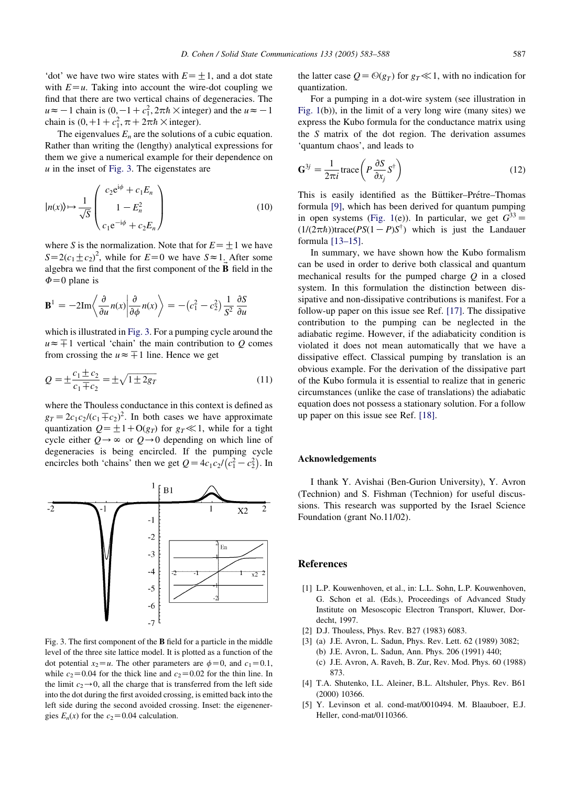<span id="page-4-0"></span>'dot' we have two wire states with  $E=+1$ , and a dot state with  $E = u$ . Taking into account the wire-dot coupling we find that there are two vertical chains of degeneracies. The  $u \approx -1$  chain is  $(0, -1 + c_1^2, 2\pi\hbar \times \text{integer})$  and the  $u \approx -1$ chain is  $(0, +1+c_1^2, \pi+2\pi\hbar \times \text{integer}).$ 

The eigenvalues  $E_n$  are the solutions of a cubic equation. Rather than writing the (lengthy) analytical expressions for them we give a numerical example for their dependence on  $u$  in the inset of Fig. 3. The eigenstates are

$$
|n(x)\rangle \mapsto \frac{1}{\sqrt{S}} \begin{pmatrix} c_2 e^{i\phi} + c_1 E_n \\ 1 - E_n^2 \\ c_1 e^{-i\phi} + c_2 E_n \end{pmatrix}
$$
 (10)

where S is the normalization. Note that for  $E=\pm 1$  we have  $S=2(c_1\pm c_2)^2$ , while for  $E=0$  we have  $S\approx 1$ . After some algebra we find that the first component of the  $\vec{B}$  field in the  $\Phi$ =0 plane is

$$
\mathbf{B}^{1} = -2\mathrm{Im}\left\langle \frac{\partial}{\partial u} n(x) \middle| \frac{\partial}{\partial \phi} n(x) \right\rangle = -(c_{1}^{2} - c_{2}^{2}) \frac{1}{S^{2}} \frac{\partial S}{\partial u}
$$

which is illustrated in Fig. 3. For a pumping cycle around the  $u \approx \pm 1$  vertical 'chain' the main contribution to O comes from crossing the  $u \approx \pm 1$  line. Hence we get

$$
Q = \pm \frac{c_1 \pm c_2}{c_1 \mp c_2} = \pm \sqrt{1 \pm 2g_T}
$$
 (11)

where the Thouless conductance in this context is defined as  $g_T = 2c_1c_2/(c_1 \pm c_2)^2$ . In both cases we have approximate quantization  $Q = \pm 1 + O(g_T)$  for  $g_T \ll 1$ , while for a tight cycle either  $Q \rightarrow \infty$  or  $Q \rightarrow 0$  depending on which line of degeneracies is being encircled. If the pumping cycle encircles both 'chains' then we get  $Q = 4c_1c_2/(c_1^2-c_2^2)$ . In



Fig. 3. The first component of the B field for a particle in the middle level of the three site lattice model. It is plotted as a function of the dot potential  $x_2 = u$ . The other parameters are  $\phi = 0$ , and  $c_1 = 0.1$ , while  $c_2$ =0.04 for the thick line and  $c_2$ =0.02 for the thin line. In the limit  $c_2 \rightarrow 0$ , all the charge that is transferred from the left side into the dot during the first avoided crossing, is emitted back into the left side during the second avoided crossing. Inset: the eigenenergies  $E_n(x)$  for the  $c_2=0.04$  calculation.

the latter case  $Q = \Theta(g_T)$  for  $g_T \ll 1$ , with no indication for quantization.

For a pumping in a dot-wire system (see illustration in [Fig. 1](#page-1-0)(b)), in the limit of a very long wire (many sites) we express the Kubo formula for the conductance matrix using the S matrix of the dot region. The derivation assumes 'quantum chaos', and leads to

$$
\mathbf{G}^{3j} = \frac{1}{2\pi i} \text{trace}\left(P\frac{\partial S}{\partial x_j}S^{\dagger}\right)
$$
(12)

This is easily identified as the Büttiker–Prétre–Thomas formula [\[9\]](#page-5-0), which has been derived for quantum pumping in open systems [\(Fig. 1](#page-1-0)(e)). In particular, we get  $G^{33} =$  $(1/(2\pi\hbar))$ trace $(PS(1-P)S^{\dagger})$  which is just the Landauer formula [\[13–15\]](#page-5-0).

In summary, we have shown how the Kubo formalism can be used in order to derive both classical and quantum mechanical results for the pumped charge  $Q$  in a closed system. In this formulation the distinction between dissipative and non-dissipative contributions is manifest. For a follow-up paper on this issue see Ref. [\[17\].](#page-5-0) The dissipative contribution to the pumping can be neglected in the adiabatic regime. However, if the adiabaticity condition is violated it does not mean automatically that we have a dissipative effect. Classical pumping by translation is an obvious example. For the derivation of the dissipative part of the Kubo formula it is essential to realize that in generic circumstances (unlike the case of translations) the adiabatic equation does not possess a stationary solution. For a follow up paper on this issue see Ref. [\[18\].](#page-5-0)

## Acknowledgements

I thank Y. Avishai (Ben-Gurion University), Y. Avron (Technion) and S. Fishman (Technion) for useful discussions. This research was supported by the Israel Science Foundation (grant No.11/02).

## References

- [1] L.P. Kouwenhoven, et al., in: L.L. Sohn, L.P. Kouwenhoven, G. Schon et al. (Eds.), Proceedings of Advanced Study Institute on Mesoscopic Electron Transport, Kluwer, Dordecht, 1997.
- [2] D.J. Thouless, Phys. Rev. B27 (1983) 6083.
- [3] (a) J.E. Avron, L. Sadun, Phys. Rev. Lett. 62 (1989) 3082; (b) J.E. Avron, L. Sadun, Ann. Phys. 206 (1991) 440;
	- (c) J.E. Avron, A. Raveh, B. Zur, Rev. Mod. Phys. 60 (1988) 873.
- [4] T.A. Shutenko, I.L. Aleiner, B.L. Altshuler, Phys. Rev. B61 (2000) 10366.
- [5] Y. Levinson et al. cond-mat/0010494. M. Blaauboer, E.J. Heller, cond-mat/0110366.